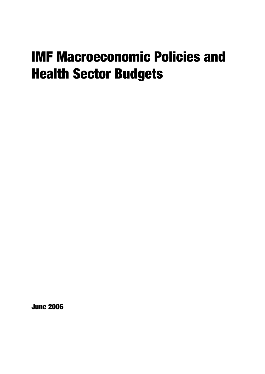# IMF Macroeconomic Policies and Health Sector Budgets

June 2006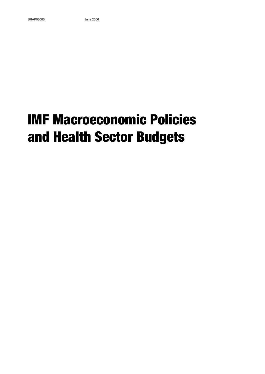# IMF Macroeconomic Policies and Health Sector Budgets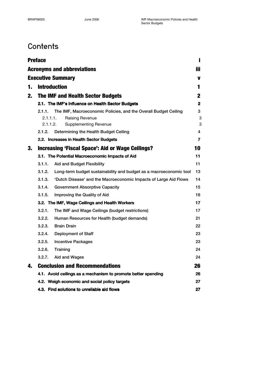## **Contents**

|    | <b>Preface</b>                                                                                                                                       |              |  |
|----|------------------------------------------------------------------------------------------------------------------------------------------------------|--------------|--|
|    | <b>Acronyms and abbreviations</b>                                                                                                                    | iii.         |  |
|    | <b>Executive Summary</b>                                                                                                                             | V            |  |
| 1. | <b>Introduction</b>                                                                                                                                  | 1            |  |
| 2. | <b>The IMF and Health Sector Budgets</b>                                                                                                             | $\mathbf{2}$ |  |
|    | 2.1. The IMF's Influence on Health Sector Budgets                                                                                                    | $\mathbf{2}$ |  |
|    | The IMF, Macroeconomic Policies, and the Overall Budget Ceiling<br>2.1.1.<br>2.1.1.1.<br>Raising Revenue<br>2.1.1.2.<br><b>Supplementing Revenue</b> | 3<br>3<br>3  |  |
|    | Determining the Health Budget Ceiling<br>2.1.2.                                                                                                      | 4            |  |
|    | 2.2. Increases in Health Sector Budgets                                                                                                              | 7            |  |
| 3. | <b>Increasing 'Fiscal Space': Aid or Wage Ceilings?</b>                                                                                              | 10           |  |
|    | 3.1. The Potential Macroeconomic Impacts of Aid                                                                                                      | 11           |  |
|    | 3.1.1.<br><b>Aid and Budget Flexibility</b>                                                                                                          | 11           |  |
|    | 3.1.2.<br>Long-term budget sustainability and budget as a macroeconomic tool                                                                         | 13           |  |
|    | 3.1.3.<br>'Dutch Disease' and the Macroeconomic Impacts of Large Aid Flows                                                                           | 14           |  |
|    | 3.1.4.<br><b>Government Absorptive Capacity</b>                                                                                                      | 15           |  |
|    | 3.1.5.<br>Improving the Quality of Aid                                                                                                               | 16           |  |
|    | 3.2. The IMF, Wage Ceilings and Health Workers                                                                                                       | 17           |  |
|    | 3.2.1.<br>The IMF and Wage Ceilings (budget restrictions)                                                                                            | 17           |  |
|    | 3.2.2.<br>Human Resources for Health (budget demands)                                                                                                | 21           |  |
|    | 3.2.3.<br><b>Brain Drain</b>                                                                                                                         | 22           |  |
|    | 3.2.4.<br><b>Deployment of Staff</b>                                                                                                                 | 23           |  |
|    | 3.2.5.<br><b>Incentive Packages</b>                                                                                                                  | 23           |  |
|    | 3.2.6.<br>Training                                                                                                                                   | 24           |  |
|    | 3.2.7.<br>Aid and Wages                                                                                                                              | 24           |  |
| 4. | <b>Conclusion and Recommendations</b>                                                                                                                | 26           |  |
|    | 4.1. Avoid ceilings as a mechanism to promote better spending                                                                                        | 26           |  |
|    | 4.2. Weigh economic and social policy targets                                                                                                        | 27           |  |
|    | 4.3. Find solutions to unreliable aid flows                                                                                                          | 27           |  |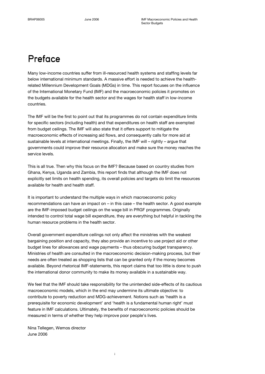## Preface

Many low-income countries suffer from ill-resourced health systems and staffing levels far below international minimum standards. A massive effort is needed to achieve the healthrelated Millennium Development Goals (MDGs) in time. This report focuses on the influence of the International Monetary Fund (IMF) and the macroeconomic policies it promotes on the budgets available for the health sector and the wages for health staff in low-income countries.

The IMF will be the first to point out that its programmes do not contain expenditure limits for specific sectors (including health) and that expenditures on health staff are exempted from budget ceilings. The IMF will also state that it offers support to mitigate the macroeconomic effects of increasing aid flows, and consequently calls for more aid at sustainable levels at international meetings. Finally, the IMF will – rightly – argue that governments could improve their resource allocation and make sure the money reaches the service levels.

This is all true. Then why this focus on the IMF? Because based on country studies from Ghana, Kenya, Uganda and Zambia, this report finds that although the IMF does not explicitly set limits on health spending, its overall policies and targets do limit the resources available for health and health staff.

It is important to understand the multiple ways in which macroeconomic policy recommendations can have an impact on – in this case – the health sector. A good example are the IMF-imposed budget ceilings on the wage bill in PRGF programmes. Originally intended to control total wage bill expenditure, they are everything but helpful in tackling the human resource problems in the health sector.

Overall government expenditure ceilings not only affect the ministries with the weakest bargaining position and capacity, they also provide an incentive to use project aid or other budget lines for allowances and wage payments – thus obscuring budget transparency. Ministries of health are consulted in the macroeconomic decision-making process, but their needs are often treated as shopping lists that can be granted only if the money becomes available. Beyond rhetorical IMF-statements, this report claims that too little is done to push the international donor community to make its money available in a sustainable way.

We feel that the IMF should take responsibility for the unintended side-effects of its cautious macroeconomic models, which in the end may undermine its ultimate objective: to contribute to poverty reduction and MDG-achievement. Notions such as 'health is a prerequisite for economic development' and 'health is a fundamental human right' must feature in IMF calculations. Ultimately, the benefits of macroeconomic policies should be measured in terms of whether they help improve poor people's lives.

Nina Tellegen, Wemos director June 2006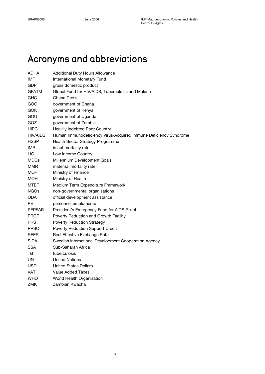## Acronyms and abbreviations

| <b>ADHA</b>   | <b>Additional Duty Hours Allowance</b>                           |  |  |  |
|---------------|------------------------------------------------------------------|--|--|--|
| <b>IMF</b>    | International Monetary Fund                                      |  |  |  |
| GDP           | gross domestic product                                           |  |  |  |
| <b>GFATM</b>  | Global Fund for HIV/AIDS, Tuberculosis and Malaria               |  |  |  |
| <b>GHC</b>    | Ghana Cedis                                                      |  |  |  |
| GOG           | government of Ghana                                              |  |  |  |
| GOK           | government of Kenya                                              |  |  |  |
| GOU           | government of Uganda                                             |  |  |  |
| GOZ           | government of Zambia                                             |  |  |  |
| <b>HIPC</b>   | Heavily Indebted Poor Country                                    |  |  |  |
| HIV/AIDS      | Human Immunodeficiency Virus/Acquired Immune Deficiency Syndrome |  |  |  |
| <b>HSSP</b>   | Health Sector Strategy Programme                                 |  |  |  |
| IMR           | infant mortality rate                                            |  |  |  |
| <b>LIC</b>    | Low Income Country                                               |  |  |  |
| MDGs          | Millennium Development Goals                                     |  |  |  |
| MMR           | maternal mortality rate                                          |  |  |  |
| MOF           | Ministry of Finance                                              |  |  |  |
| MOH           | Ministry of Health                                               |  |  |  |
| MTEF          | Medium Term Expenditure Framework                                |  |  |  |
| <b>NGOs</b>   | non-governmental organisations                                   |  |  |  |
| ODA           | official development assistance                                  |  |  |  |
| РE            | personnel emoluments                                             |  |  |  |
| <b>PEPFAR</b> | President's Emergency Fund for AIDS Relief                       |  |  |  |
| <b>PRGF</b>   | Poverty Reduction and Growth Facility                            |  |  |  |
| PRS           | <b>Poverty Reduction Strategy</b>                                |  |  |  |
| <b>PRSC</b>   | Poverty Reduction Support Credit                                 |  |  |  |
| <b>REER</b>   | Real Effective Exchange Rate                                     |  |  |  |
| <b>SIDA</b>   | Swedish International Development Cooperation Agency             |  |  |  |
| <b>SSA</b>    | Sub-Saharan Africa                                               |  |  |  |
| тв            | tuberculosis                                                     |  |  |  |
| UN            | <b>United Nations</b>                                            |  |  |  |
| <b>USD</b>    | United States Dollars                                            |  |  |  |
| <b>VAT</b>    | Value Added Taxes                                                |  |  |  |
| WHO           | World Health Organisation                                        |  |  |  |
| ZMK           | Zambian Kwacha                                                   |  |  |  |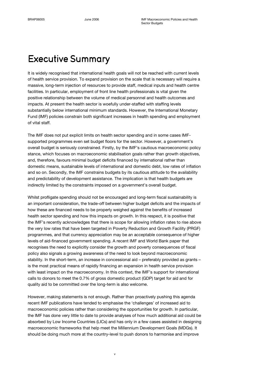## **Executive Summary**

It is widely recognised that international health goals will not be reached with current levels of health service provision. To expand provision on the scale that is necessary will require a massive, long-term injection of resources to provide staff, medical inputs and health centre facilities. In particular, employment of front line health professionals is vital given the positive relationship between the volume of medical personnel and health outcomes and impacts. At present the health sector is woefully under-staffed with staffing levels substantially below international minimum standards. However, the International Monetary Fund (IMF) policies constrain both significant increases in health spending and employment of vital staff.

The IMF does not put explicit limits on health sector spending and in some cases IMFsupported programmes even set budget floors for the sector. However, a government's overall budget is seriously constrained. Firstly, by the IMF's cautious macroeconomic policy stance, which focuses on macroeconomic stabilisation goals rather than growth objectives, and, therefore, favours minimal budget deficits financed by international rather than domestic means, sustainable levels of international and domestic debt, low rates of inflation and so on. Secondly, the IMF constrains budgets by its cautious attitude to the availability and predictability of development assistance. The implication is that health budgets are indirectly limited by the constraints imposed on a government's overall budget.

Whilst profligate spending should not be encouraged and long-term fiscal sustainability is an important consideration, the trade-off between higher budget deficits and the impacts of how these are financed needs to be properly weighed against the benefits of increased health sector spending and how this impacts on growth. In this respect, it is positive that the IMF's recently acknowledges that there is scope for allowing inflation rates to rise above the very low rates that have been targeted in Poverty Reduction and Growth Facility (PRGF) programmes, and that currency appreciation may be an acceptable consequence of higher levels of aid-financed government spending. A recent IMF and World Bank paper that recognises the need to explicitly consider the growth and poverty consequences of fiscal policy also signals a growing awareness of the need to look beyond macroeconomic stability. In the short-term, an increase in concessional aid – preferably provided as grants – is the most practical means of rapidly financing an expansion in health service provision with least impact on the macroeconomy. In this context, the IMF's support for international calls to donors to meet the 0.7% of gross domestic product (GDP) target for aid and for quality aid to be committed over the long-term is also welcome.

However, making statements is not enough. Rather than proactively pushing this agenda recent IMF publications have tended to emphasise the 'challenges' of increased aid to macroeconomic policies rather than considering the opportunities for growth. In particular, the IMF has done very little to date to provide analyses of how much additional aid could be absorbed by Low Income Countries (LICs) and has only in a few cases assisted in designing macroeconomic frameworks that help meet the Millennium Development Goals (MDGs). It should be doing much more at the country-level to push donors to harmonise and improve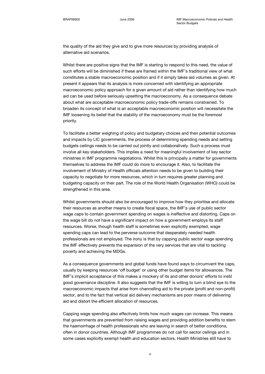the quality of the aid they give and to give more resources by providing analysis of alternative aid scenarios.

Whilst there are positive signs that the IMF is starting to respond to this need, the value of such efforts will be diminished if these are framed within the IMF's traditional view of what constitutes a stable macroeconomic position and if it simply takes aid volumes as given. At present it appears that its analysis is more concerned with identifying an appropriate macroeconomic policy approach for a given amount of aid rather than identifying how much aid can be used before seriously upsetting the macroeconomy. As a consequence debate about what are acceptable macroeconomic policy trade-offs remains constrained. To broaden its concept of what is an acceptable macroeconomic position will necessitate the IMF loosening its belief that the stability of the macroeconomy must be the foremost priority.

To facilitate a better weighing of policy and budgetary choices and their potential outcomes and impacts by LIC governments, the process of determining spending needs and setting budgets ceilings needs to be carried out jointly and collaboratively. Such a process must involve all key stakeholders. This implies a need for meaningful involvement of key sector ministries in IMF programme negotiations. Whilst this is principally a matter for governments themselves to address the IMF could do more to encourage it. Also, to facilitate the involvement of Ministry of Health officials attention needs to be given to building their capacity to negotiate for more resources, which in turn requires greater planning and budgeting capacity on their part. The role of the World Health Organisation (WHO) could be strengthened in this area.

Whilst governments should also be encouraged to improve how they prioritise and allocate their resources as another means to create fiscal space, the IMF's use of public sector wage caps to contain government spending on wages is ineffective and distorting. Caps on the wage bill do not have a significant impact on how a government employs its staff resources. Worse, though health staff is sometimes even explicitly exempted, wage spending caps can lead to the perverse outcome that desperately needed health professionals are not employed. The irony is that by capping public sector wage spending the IMF effectively prevents the expansion of the very services that are vital to tackling poverty and achieving the MDGs.

As a consequence governments and global funds have found ways to circumvent the caps, usually by keeping resources 'off budget' or using other budget items for allowances. The IMF's implicit acceptance of this makes a mockery of its and other donors' efforts to instil good governance discipline. It also suggests that the IMF is willing to turn a blind eye to the macroeconomic impacts that arise from channelling aid to the private (profit and non-profit) sector, and to the fact that vertical aid delivery mechanisms are poor means of delivering aid and distort the efficient allocation of resources.

Capping wage spending also effectively limits how much wages can increase. This means that governments are prevented from raising wages and providing addition benefits to stem the haemorrhage of health professionals who are leaving in search of better conditions, often in donor countries. Although IMF programmes do not call for sector ceilings and in some cases explicitly exempt health and education sectors, Health Ministries still have to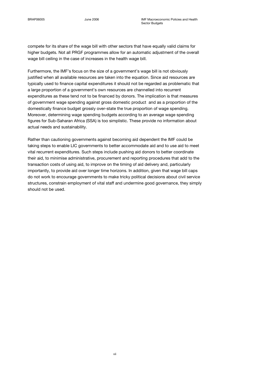compete for its share of the wage bill with other sectors that have equally valid claims for higher budgets. Not all PRGF programmes allow for an automatic adjustment of the overall wage bill ceiling in the case of increases in the health wage bill.

Furthermore, the IMF's focus on the size of a government's wage bill is not obviously justified when all available resources are taken into the equation. Since aid resources are typically used to finance capital expenditures it should not be regarded as problematic that a large proportion of a government's own resources are channelled into recurrent expenditures as these tend not to be financed by donors. The implication is that measures of government wage spending against gross domestic product and as a proportion of the domestically finance budget grossly over-state the true proportion of wage spending. Moreover, determining wage spending budgets according to an average wage spending figures for Sub-Saharan Africa (SSA) is too simplistic. These provide no information about actual needs and sustainability.

Rather than cautioning governments against becoming aid dependent the IMF could be taking steps to enable LIC governments to better accommodate aid and to use aid to meet vital recurrent expenditures. Such steps include pushing aid donors to better coordinate their aid, to minimise administrative, procurement and reporting procedures that add to the transaction costs of using aid, to improve on the timing of aid delivery and, particularly importantly, to provide aid over longer time horizons. In addition, given that wage bill caps do not work to encourage governments to make tricky political decisions about civil service structures, constrain employment of vital staff and undermine good governance, they simply should not be used.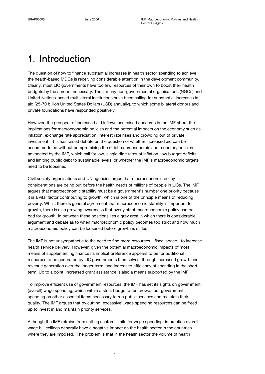## 1. Introduction

The question of how to finance substantial increases in health sector spending to achieve the health-based MDGs is receiving considerable attention in the development community. Clearly, most LIC governments have too few resources of their own to boost their health budgets by the amount necessary. Thus, many non-governmental organisations (NGOs) and United Nations-based multilateral institutions have been calling for substantial increases in aid (25-70 billion United States Dollars (USD) annually), to which some bilateral donors and private foundations have responded positively.

However, the prospect of increased aid inflows has raised concerns in the IMF about the implications for macroeconomic policies and the potential impacts on the economy such as inflation, exchange rate appreciation, interest rate rises and crowding out of private investment. This has raised debate on the question of whether increased aid can be accommodated without compromising the strict macroeconomic and monetary policies advocated by the IMF, which call for low, single digit rates of inflation, low budget deficits and limiting public debt to sustainable levels, or whether the IMF's macroeconomic targets need to be loosened.

Civil society organisations and UN agencies argue that macroeconomic policy considerations are being put before the health needs of millions of people in LICs. The IMF argues that macroeconomic stability must be a government's number one priority because it is a vital factor contributing to growth, which is one of the principle means of reducing poverty. Whilst there is general agreement that macroeconomic stability is important for growth, there is also growing awareness that overly strict macroeconomic policy can be bad for growth. In between these positions lies a grey area in which there is considerable argument and debate as to when macroeconomic policy becomes too strict and how much macroeconomic policy can be loosened before growth is stifled.

The IMF is not unsympathetic to the need to find more resources – fiscal space - to increase health service delivery. However, given the potential macroeconomic impacts of most means of supplementing finance its implicit preference appears to be for additional resources to be generated by LIC governments themselves, through increased growth and revenue generation over the longer term, and increased efficiency of spending in the short term. Up to a point, increased grant assistance is also a means supported by the IMF.

To improve efficient use of government resources, the IMF has set its sights on government (overall) wage spending, which within a strict budget often crowds out government spending on other essential items necessary to run public services and maintain their quality. The IMF argues that by cutting 'excessive' wage spending resources can be freed up to invest in and maintain priority services.

Although the IMF refrains from setting sectoral limits for wage spending, in practice overall wage bill ceilings generally have a negative impact on the health sector in the countries where they are imposed. The problem is that in the health sector the volume of health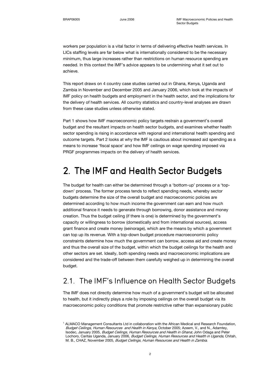workers per population is a vital factor in terms of delivering effective health services. In LICs staffing levels are far below what is internationally considered to be the necessary minimum, thus large increases rather than restrictions on human resource spending are needed. In this context the IMF's advice appears to be undermining what it set out to achieve.

This report draws on 4 country case studies carried out in Ghana, Kenya, Uganda and Zambia in November and December 2005 and January 2006, which look at the impacts of IMF policy on health budgets and employment in the health sector, and the implications for the delivery of health services. All country statistics and country-level analyses are drawn from these case studies unless otherwise stated.

Part 1 shows how IMF macroeconomic policy targets restrain a government's overall budget and the resultant impacts on health sector budgets, and examines whether health sector spending is rising in accordance with regional and international health spending and outcome targets. Part 2 looks at why the IMF is cautious about increased aid spending as a means to increase 'fiscal space' and how IMF ceilings on wage spending imposed via PRGF programmes impacts on the delivery of health services.

## 2. The IMF and Health Sector Budgets

The budget for health can either be determined through a 'bottom-up' process or a 'topdown' process. The former process tends to reflect spending needs, whereby sector budgets determine the size of the overall budget and macroeconomic policies are determined according to how much income the government can earn and how much additional finance it needs to generate through borrowing, donor assistance and money creation. Thus the budget ceiling (if there is one) is determined by the government's capacity or willingness to borrow (domestically and from international sources), access grant finance and create money (seinorage), which are the means by which a government can top up its revenue. With a top-down budget procedure macroeconomic policy constraints determine how much the government can borrow, access aid and create money and thus the overall size of the budget, within which the budget ceilings for the health and other sectors are set. Ideally, both spending needs and macroeconomic implications are considered and the trade-off between them carefully weighed up in determining the overall budget.

### 2.1. The IMF's Influence on Health Sector Budgets

The IMF does not directly determine how much of a government's budget will be allocated to health, but it indirectly plays a role by imposing ceilings on the overall budget via its macroeconomic policy conditions that promote restrictive rather than expansionary public

<sup>&</sup>lt;sup>1</sup> ALMACO Management Consultants Ltd in collaboration with the African Medical and Research Foundation, Budget Ceilings, Human Resources and Health in Kenya, October 2005; Azeem, V., and N., Adamtey, Isodec, January 2005, Budget Ceilings, Human Resources and Health in Ghana; John Odaga and Peter Lochoro, Caritas Uganda, January 2006, Budget Ceilings, Human Resources and Health in Uganda, Chitah, M. B., CHAZ, November 2005, Budget Ceilings, Human Resources and Health in Zambia.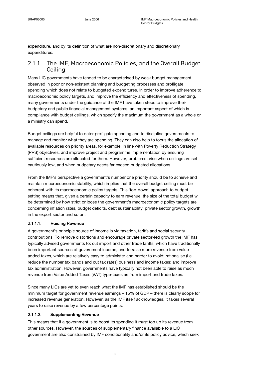expenditure, and by its definition of what are non-discretionary and discretionary expenditures.

### 2.1.1. The IMF, Macroeconomic Policies, and the Overall Budget Ceiling

Many LIC governments have tended to be characterised by weak budget management observed in poor or non-existent planning and budgeting processes and profligate spending which does not relate to budgeted expenditures. In order to improve adherence to macroeconomic policy targets, and improve the efficiency and effectiveness of spending, many governments under the guidance of the IMF have taken steps to improve their budgetary and public financial management systems, an important aspect of which is compliance with budget ceilings, which specify the maximum the government as a whole or a ministry can spend.

Budget ceilings are helpful to deter profligate spending and to discipline governments to manage and monitor what they are spending. They can also help to focus the allocation of available resources on priority areas, for example, in line with Poverty Reduction Strategy (PRS) objectives, and improve project and programme implementation by ensuring sufficient resources are allocated for them. However, problems arise when ceilings are set cautiously low, and when budgetary needs far exceed budgeted allocations.

From the IMF's perspective a government's number one priority should be to achieve and maintain macroeconomic stability, which implies that the overall budget ceiling must be coherent with its macroeconomic policy targets. This 'top-down' approach to budget setting means that, given a certain capacity to earn revenue, the size of the total budget will be determined by how strict or loose the government's macroeconomic policy targets are concerning inflation rates, budget deficits, debt sustainability, private sector growth, growth in the export sector and so on.

#### 2.1.1.1. Raising Revenue

A government's principle source of income is via taxation, tariffs and social security contributions. To remove distortions and encourage private sector-led growth the IMF has typically advised governments to: cut import and other trade tariffs, which have traditionally been important sources of government income, and to raise more revenue from value added taxes, which are relatively easy to administer and harder to avoid; rationalise (i.e. reduce the number tax bands and cut tax rates) business and income taxes; and improve tax administration. However, governments have typically not been able to raise as much revenue from Value Added Taxes (VAT) type-taxes as from import and trade taxes.

Since many LICs are yet to even reach what the IMF has established should be the minimum target for government revenue earnings – 15% of GDP – there is clearly scope for increased revenue generation. However, as the IMF itself acknowledges, it takes several years to raise revenue by a few percentage points.

#### 2.1.1.2. Supplementing Revenue

This means that if a government is to boost its spending it must top up its revenue from other sources. However, the sources of supplementary finance available to a LIC government are also constrained by IMF conditionality and/or its policy advice, which seek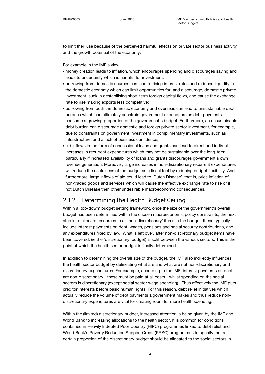to limit their use because of the perceived harmful effects on private sector business activity and the growth potential of the economy.

For example in the IMF's view:

- money creation leads to inflation, which encourages spending and discourages saving and leads to uncertainty which is harmful for investment;
- borrowing from domestic sources can lead to rising interest rates and reduced liquidity in the domestic economy which can limit opportunities for, and discourage, domestic private investment, suck in destabilising short-term foreign capital flows, and cause the exchange rate to rise making exports less competitive;
- borrowing from both the domestic economy and overseas can lead to unsustainable debt burdens which can ultimately constrain government expenditure as debt payments consume a growing proportion of the government's budget. Furthermore, an unsustainable debt burden can discourage domestic and foreign private sector investment, for example, due to constraints on government investment in complimentary investments, such as infrastructure, and a lack of business confidence;
- aid inflows in the form of concessional loans and grants can lead to direct and indirect increases in recurrent expenditures which may not be sustainable over the long-term, particularly if increased availability of loans and grants discourages government's own revenue generation. Moreover, large increases in non-discretionary recurrent expenditures will reduce the usefulness of the budget as a fiscal tool by reducing budget flexibility. And furthermore, large inflows of aid could lead to 'Dutch Disease', that is, price inflation of non-traded goods and services which will cause the effective exchange rate to rise or if not Dutch Disease then other undesirable macroeconomic consequences.

### 2.1.2. Determining the Health Budget Ceiling

Within a 'top-down' budget setting framework, once the size of the government's overall budget has been determined within the chosen macroeconomic policy constraints, the next step is to allocate resources to all 'non-discretionary' items in the budget, these typically include interest payments on debt, wages, pensions and social security contributions, and any expenditures fixed by law. What is left over, after non-discretionary budget items have been covered, (ie the 'discretionary' budget) is split between the various sectors. This is the point at which the health sector budget is finally determined.

In addition to determining the overall size of the budget, the IMF also indirectly influences the health sector budget by delineating what are and what are not non-discretionary and discretionary expenditures. For example, according to the IMF, interest payments on debt are non-discretionary - these must be paid at all costs - whilst spending on the social sectors is discretionary (except social sector wage spending). Thus effectively the IMF puts creditor interests before basic human rights. For this reason, debt relief initiatives which actually reduce the volume of debt payments a government makes and thus reduce nondiscretionary expenditures are vital for creating room for more health spending.

Within the (limited) discretionary budget, increased attention is being given by the IMF and World Bank to increasing allocations to the health sector. It is common for conditions contained in Heavily Indebted Poor Country (HIPC) programmes linked to debt relief and World Bank's Poverty Reduction Support Credit (PRSC) programmes to specify that a certain proportion of the discretionary budget should be allocated to the social sectors in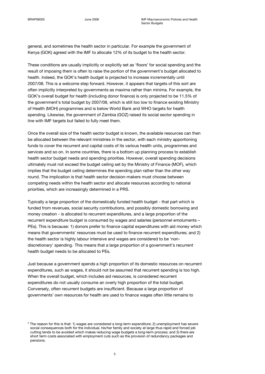general, and sometimes the health sector in particular. For example the government of Kenya (GOK) agreed with the IMF to allocate 12% of its budget to the health sector.

These conditions are usually implicitly or explicitly set as 'floors' for social spending and the result of imposing them is often to raise the portion of the government's budget allocated to health. Indeed, the GOK's health budget is projected to increase incrementally until 2007/08. This is a welcome step forward. However, it appears that targets of this sort are often implicitly interpreted by governments as maxima rather than minima. For example, the GOK's overall budget for health (including donor finance) is only projected to be 11.5% of the government's total budget by 2007/08, which is still too low to finance existing Ministry of Health (MOH) programmes and is below World Bank and WHO targets for health spending. Likewise, the government of Zambia (GOZ) raised its social sector spending in line with IMF targets but failed to fully meet them.

Once the overall size of the health sector budget is known, the available resources can then be allocated between the relevant ministries in the sector, with each ministry apportioning funds to cover the recurrent and capital costs of its various health units, programmes and services and so on. In some countries, there is a bottom up planning process to establish health sector budget needs and spending priorities. However, overall spending decisions ultimately must not exceed the budget ceiling set by the Ministry of Finance (MOF), which implies that the budget ceiling determines the spending plan rather than the other way round. The implication is that health sector decision-makers must choose between competing needs within the health sector and allocate resources according to national priorities, which are increasingly determined in a PRS.

Typically a large proportion of the domestically funded health budget - that part which is funded from revenues, social security contributions, and possibly domestic borrowing and money creation - is allocated to recurrent expenditures, and a large proportion of the recurrent expenditure budget is consumed by wages and salaries (personnel emoluments – PEs). This is because: 1) donors prefer to finance capital expenditures with aid money which means that governments' resources must be used to finance recurrent expenditures; and 2) the health sector is highly labour intensive and wages are considered to be 'nondiscretionary' spending. This means that a large proportion of a government's recurrent health budget needs to be allocated to PEs.

Just because a government spends a high proportion of its domestic resources on recurrent expenditures, such as wages, it should not be assumed that recurrent spending is too high. When the overall budget, which includes aid resources, is considered recurrent expenditures do not usually consume an overly high proportion of the total budget. Conversely, often recurrent budgets are insufficient. Because a large proportion of governments' own resources for health are used to finance wages often little remains to

 $^2$  The reason for this is that: 1) wages are considered a long-term expenditure; 2) unemployment has severe social consequences both for the individual, his/her family and society at large thus rapid and forced job cutting tends to be avoided which makes reducing wage budgets a long-term process; and 3) there are short term costs associated with employment cuts such as the provision of redundancy packages and pensions.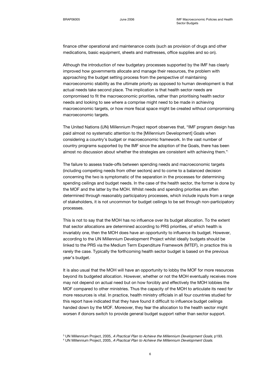finance other operational and maintenance costs (such as provision of drugs and other medications, basic equipment, sheets and mattresses, office supplies and so on).

Although the introduction of new budgetary processes supported by the IMF has clearly improved how governments allocate and manage their resources, the problem with approaching the budget setting process from the perspective of maintaining macroeconomic stability as the ultimate priority as opposed to human development is that actual needs take second place. The implication is that health sector needs are compromised to fit the macroeconomic priorities, rather than prioritising health sector needs and looking to see where a comprise might need to be made in achieving macroeconomic targets, or how more fiscal space might be created without compromising macroeconomic targets.

The United Nations (UN) Millennium Project report observes that, "IMF program design has paid almost no systematic attention to the [Millennium Development] Goals when considering a country's budget or macroeconomic framework. In the vast number of country programs supported by the IMF since the adoption of the Goals, there has been almost no discussion about whether the strategies are consistent with achieving them."<sup>3</sup>

The failure to assess trade-offs between spending needs and macroeconomic targets (including competing needs from other sectors) and to come to a balanced decision concerning the two is symptomatic of the separation in the processes for determining spending ceilings and budget needs. In the case of the health sector, the former is done by the MOF and the latter by the MOH. Whilst needs and spending priorities are often determined through reasonably participatory processes, which include inputs from a range of stakeholders, it is not uncommon for budget ceilings to be set through non-participatory processes.

This is not to say that the MOH has no influence over its budget allocation. To the extent that sector allocations are determined according to PRS priorities, of which health is invariably one, then the MOH does have an opportunity to influence its budget. However, according to the UN Millennium Development Project whilst ideally budgets should be linked to the PRS via the Medium Term Expenditure Framework (MTEF), in practice this is rarely the case. Typically the forthcoming health sector budget is based on the previous year's budget.<sup>4</sup>

It is also usual that the MOH will have an opportunity to lobby the MOF for more resources beyond its budgeted allocation. However, whether or not the MOH eventually receives more may not depend on actual need but on how forcibly and effectively the MOH lobbies the MOF compared to other ministries. Thus the capacity of the MOH to articulate its need for more resources is vital. In practice, health ministry officials in all four countries studied for this report have indicated that they have found it difficult to influence budget ceilings handed down by the MOF. Moreover, they fear the allocation to the health sector might worsen if donors switch to provide general budget support rather than sector support.

<sup>&</sup>lt;sup>3</sup> UN Millennium Project, 2005, *A Practical Plan to Achieve the Millennium Development Goals*, p193.

<sup>&</sup>lt;sup>4</sup> UN Millennium Project, 2005, A Practical Plan to Achieve the Millennium Development Goals.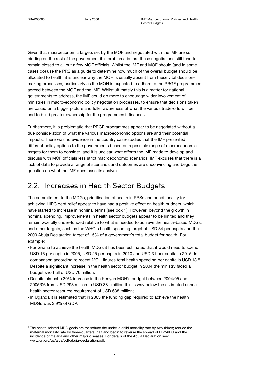Given that macroeconomic targets set by the MOF and negotiated with the IMF are so binding on the rest of the government it is problematic that these negotiations still tend to remain closed to all but a few MOF officials. Whilst the IMF and MOF should (and in some cases do) use the PRS as a guide to determine how much of the overall budget should be allocated to health, it is unclear why the MOH is usually absent from these vital decisionmaking processes, particularly as the MOH is expected to adhere to the PRGF programmed agreed between the MOF and the IMF. Whilst ultimately this is a matter for national governments to address, the IMF could do more to encourage wider involvement of ministries in macro-economic policy negotiation processes, to ensure that decisions taken are based on a bigger picture and fuller awareness of what the various trade-offs will be, and to build greater ownership for the programmes it finances.

Furthermore, it is problematic that PRGF programmes appear to be negotiated without a due consideration of what the various macroeconomic options are and their potential impacts. There was no evidence in the country case-studies that the IMF presented different policy options to the governments based on a possible range of macroeconomic targets for them to consider, and it is unclear what efforts the IMF made to develop and discuss with MOF officials less strict macroeconomic scenarios. IMF excuses that there is a lack of data to provide a range of scenarios and outcomes are unconvincing and begs the question on what the IMF does base its analysis.

### 2.2. Increases in Health Sector Budgets

The commitment to the MDGs, prioritisation of health in PRSs and conditionality for achieving HIPC debt relief appear to have had a positive effect on health budgets, which have started to increase in nominal terms (see box 1). However, beyond the growth in nominal spending, improvements in health sector budgets appear to be limited and they remain woefully under-funded relative to what is needed to achieve the health-based MDGs, and other targets, such as the WHO's health spending target of USD 34 per capita and the 2000 Abuja Declaration target of 15% of a government's total budget for health. For example:

- For Ghana to achieve the health MDGs it has been estimated that it would need to spend USD 16 per capita in 2005, USD 25 per capita in 2010 and USD 31 per capita in 2015. In comparison according to recent MOH figures total health spending per capita is USD 13.5. Despite a significant increase in the health sector budget in 2004 the ministry faced a budget shortfall of USD 70 million;
- Despite almost a 30% increase in the Kenyan MOH's budget between 2004/05 and 2005/06 from USD 293 million to USD 381 million this is way below the estimated annual health sector resource requirement of USD 638 million;
- In Uganda it is estimated that in 2003 the funding gap required to achieve the health MDGs was 3.9% of GDP.

 $^5$  The health-related MDG goals are to: reduce the under-5 child mortality rate by two-thirds; reduce the maternal mortality rate by three-quarters; halt and begin to reverse the spread of HIV/AIDS and the incidence of malaria and other major diseases. For details of the Abuja Declaration see: www.un.org/ga/aids/pdf/abuja-declaration.pdf.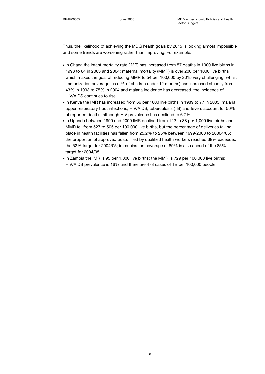Thus, the likelihood of achieving the MDG health goals by 2015 is looking almost impossible and some trends are worsening rather than improving. For example:

- In Ghana the infant mortality rate (IMR) has increased from 57 deaths in 1000 live births in 1998 to 64 in 2003 and 2004; maternal mortality (MMR) is over 200 per 1000 live births which makes the goal of reducing MMR to 54 per 100,000 by 2015 very challenging; whilst immunization coverage (as a % of children under 12 months) has increased steadily from 43% in 1993 to 75% in 2004 and malaria incidence has decreased, the incidence of HIV/AIDS continues to rise.
- In Kenya the IMR has increased from 66 per 1000 live births in 1989 to 77 in 2003; malaria, upper respiratory tract infections, HIV/AIDS, tuberculosis (TB) and fevers account for 50% of reported deaths, although HIV prevalence has declined to 6.7%;
- In Uganda between 1990 and 2000 IMR declined from 122 to 88 per 1,000 live births and MMR fell from 527 to 505 per 100,000 live births, but the percentage of deliveries taking place in health facilities has fallen from 25.2% to 25% between 1999/2000 to 20004/05; the proportion of approved posts filled by qualified health workers reached 68% exceeded the 52% target for 2004/05; immunisation coverage at 89% is also ahead of the 85% target for 2004/05.
- In Zambia the IMR is 95 per 1,000 live births; the MMR is 729 per 100,000 live births; HIV/AIDS prevalence is 16% and there are 478 cases of TB per 100,000 people.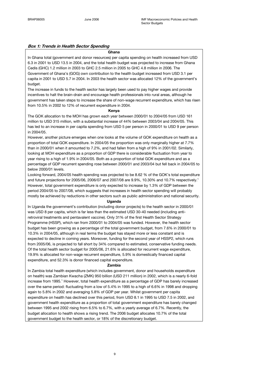#### Box 1: Trends in Health Sector Spending

#### Ghana

In Ghana total (government and donor resources) per capita spending on health increased from USD 6.3 in 2001 to USD 13.5 in 2004, and the total health budget was projected to increase from Ghana Cedis (GHC) 1.2 million in 2003 to GHC 2.5 million in 2005 to GHC 4.8 million in 2006. The Government of Ghana's (GOG) own contribution to the health budget increased from USD 3.1 per capita in 2001 to USD 5.7 in 2004. In 2003 the health sector was allocated 12% of the government's budget.

The increase in funds to the health sector has largely been used to pay higher wages and provide incentives to halt the brain-drain and encourage health professionals into rural areas, although he government has taken steps to increase the share of non-wage recurrent expenditure, which has risen from 10.5% in 2002 to 12% of recurrent expenditure in 2004.

#### Kenya

The GOK allocation to the MOH has grown each year between 2000/01 to 2004/05 from USD 161 million to USD 315 million, with a substantial increase of 44% between 2003/04 and 2004/05. This has led to an increase in per capita spending from USD 5 per person in 2000/01 to USD 9 per person in 2004/05.

However, another picture emerges when one looks at the volume of GOK expenditure on health as a proportion of total GOK expenditure. In 2004/05 the proportion was only marginally higher at 7.7% than in 2000/01 when it amounted to 7.2%, and had fallen from a high of 9% in 2001/02. Similarly, looking at MOH expenditure as a proportion of GDP there is considerable fluctuation from year to year rising to a high of 1.9% in 2004/05. Both as a proportion of total GOK expenditure and as a percentage of GDP recurrent spending rose between 2000/01 and 2003/04 but fell back in 2004/05 to below 2000/01 levels.

Looking forward, 2004/05 health spending was projected to be 8.62 % of the GOK's total expenditure and future projections for 2005/06, 2006/07 and 2007/08 are 9.9%, 10.30% and 10.7% respectively.<sup>1</sup> However, total government expenditure is only expected to increase by 1.3% of GDP between the period 2004/05 to 2007/08, which suggests that increases in health sector spending will probably mostly be achieved by reductions in other sectors such as public administration and national security.

#### Uganda

In Uganda the government's contribution (including donor projects) to the health sector in 2000/01 was USD 8 per capita, which is far less than the estimated USD 30-40 needed (including antiretroviral treatments and pentavalent vaccine). Only 31% of the first Health Sector Strategy Programme (HSSP), which ran from 2000/01 to 2004/05 was funded. However, the health sector budget has been growing as a percentage of the total government budget, from 7.6% in 2000/01 to 10.3% in 2004/05, although in real terms the budget has stayed more or less constant and is expected to decline in coming years. Moreover, funding for the second year of HSSP2, which runs from 2005/06, is projected to fall short by 34% compared to estimated, conservative funding needs. Of the total health sector budget for 2005/06, 21.6% is allocated for recurrent wage expenditure, 19.9% is allocated for non-wage recurrent expenditure, 5.9% is domestically financed capital expenditure, and 52.3% is donor financed capital expenditure.

#### Zambia

In Zambia total health expenditure (which includes government, donor and households expenditure on health) was Zambian Kwacha (ZMK) 950 billion (USD 211 million) in 2002, which is a nearly 6-fold increase from 1995.<sup>1</sup> However, total health expenditure as a percentage of GDP has barely increased over the same period: fluctuating from a low of 5.4% in 1995 to a high of 6.6% in 1998 and dropping again to 5.8% in 2002 and averaging 5.8% of GDP per year. Whilst government per capita expenditure on health has declined over this period, from USD 8.1 in 1995 to USD 7.5 in 2002, and government health expenditure as a proportion of total government expenditure has barely changed between 1995 and 2002 rising from 6.5% to 6.7%, with a yearly average of 6.7%. Recently, the budget allocation to health shows a rising trend. The 2006 budget allocates 10.7% of the total government budget to the health sector, or 18% of the discretionary budget.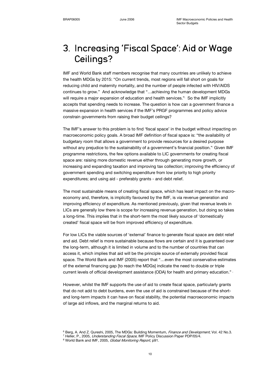## 3. Increasing 'Fiscal Space': Aid or Wage Ceilings? Ceilings?

IMF and World Bank staff members recognise that many countries are unlikely to achieve the health MDGs by 2015: "On current trends, most regions will fall short on goals for reducing child and maternity mortality, and the number of people infected with HIV/AIDS continues to grow." And acknowledge that "…achieving the human development MDGs will require a major expansion of education and health services." So the IMF implicitly accepts that spending needs to increase. The question is how can a government finance a massive expansion in health services if the IMF's PRGF programmes and policy advice constrain governments from raising their budget ceilings?

The IMF's answer to this problem is to find 'fiscal space' in the budget without impacting on macroeconomic policy goals. A broad IMF definition of fiscal space is: "the availability of budgetary room that allows a government to provide resources for a desired purpose without any prejudice to the sustainability of a government's financial position." Given IMF programme restrictions, the few options available to LIC governments for creating fiscal space are: raising more domestic revenue either through generating more growth, or increasing and expanding taxation and improving tax collection; improving the efficiency of government spending and switching expenditure from low priority to high priority expenditures; and using aid - preferably grants - and debt relief.

The most sustainable means of creating fiscal space, which has least impact on the macroeconomy and, therefore, is implicitly favoured by the IMF, is via revenue generation and improving efficiency of expenditure. As mentioned previously, given that revenue levels in LICs are generally low there is scope for increasing revenue generation, but doing so takes a long-time. This implies that in the short-term the most likely source of 'domestically created' fiscal space will be from improved efficiency of expenditure.

For low LICs the viable sources of 'external' finance to generate fiscal space are debt relief and aid. Debt relief is more sustainable because flows are certain and it is guaranteed over the long-term, although it is limited in volume and to the number of countries that can access it, which implies that aid will be the principle source of externally provided fiscal space. The World Bank and IMF (2005) report that "…even the most conservative estimates of the external financing gap [to reach the MDGs] indicate the need to double or triple current levels of official development assistance (ODA) for health and primary education."

However, whilst the IMF supports the use of aid to create fiscal space, particularly grants that do not add to debt burdens, even the use of aid is constrained because of the shortand long-term impacts it can have on fiscal stability, the potential macroeconomic impacts of large aid inflows, and the marginal returns to aid.

<sup>&</sup>lt;sup>6</sup> Berg, A. And Z. Qureshi, 2005, The MDGs: Building Momentum, *Finance and Development*, Vol. 42 No.3.

<sup>&</sup>lt;sup>7</sup> Heller, P., 2005, *Understanding Fiscal Space*, IMF Policy Discussion Paper PDP/05/4.

<sup>&</sup>lt;sup>8</sup> World Bank and IMF, 2005, Global Monitoring Report, p91.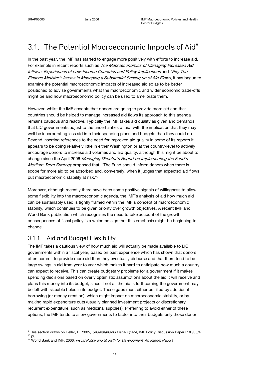## 3.1. The Potential Macroeconomic Impacts of Aid $^9$

In the past year, the IMF has started to engage more positively with efforts to increase aid. For example in recent reports such as The Macroeconomics of Managing Increased Aid Inflows: Experiences of Low-Income Countries and Policy Implications and "Pity The Finance Minister": Issues in Managing a Substantial Scaling up of Aid Flows, it has begun to examine the potential macroeconomic impacts of increased aid so as to be better positioned to advise governments what the macroeconomic and wider economic trade-offs might be and how macroeconomic policy can be used to ameliorate them.

However, whilst the IMF accepts that donors are going to provide more aid and that countries should be helped to manage increased aid flows its approach to this agenda remains cautious and reactive. Typically the IMF takes aid quality as given and demands that LIC governments adjust to the uncertainties of aid, with the implication that they may well be incorporating less aid into their spending plans and budgets than they could do. Beyond inserting references to the need for improved aid quality in some of its reports it appears to be doing relatively little in either Washington or at the country-level to actively encourage donors to increase aid volumes and aid quality, although this might be about to change since the April 2006 Managing Director's Report on Implementing the Fund's Medium-Term Strategy proposed that, "The Fund should inform donors when there is scope for more aid to be absorbed and, conversely, when it judges that expected aid flows put macroeconomic stability at risk."<sup>®</sup>

Moreover, although recently there have been some positive signals of willingness to allow some flexibility into the macroeconomic agenda, the IMF's analysis of aid how much aid can be sustainably used is tightly framed within the IMF's concept of macroeconomic stability, which continues to be given priority over growth objectives. A recent IMF and World Bank publication which recognises the need to take account of the growth consequences of fiscal policy is a welcome sign that this emphasis might be beginning to change.<sup>11</sup>

### 3.1.1. Aid and Budget Flexibility

The IMF takes a cautious view of how much aid will actually be made available to LIC governments within a fiscal year, based on past experience which has shown that donors often commit to provide more aid than they eventually disburse and that there tend to be large swings in aid from year to year which makes it hard to anticipate how much a country can expect to receive. This can create budgetary problems for a government if it makes spending decisions based on overly optimistic assumptions about the aid it will receive and plans this money into its budget, since if not all the aid is forthcoming the government may be left with sizeable holes in its budget. These gaps must either be filled by additional borrowing (or money creation), which might impact on macroeconomic stability, or by making rapid expenditure cuts (usually planned investment projects or discretionary recurrent expenditure, such as medicinal supplies). Preferring to avoid either of these options, the IMF tends to allow governments to factor into their budgets only those donor

<sup>&</sup>lt;sup>9</sup> This section draws on Heller, P., 2005, *Understanding Fiscal Space*, IMF Policy Discussion Paper PDP/05/4. <sup>10</sup> p8.

<sup>&</sup>lt;sup>11</sup> World Bank and IMF, 2006, Fiscal Policy and Growth for Development: An Interim Report.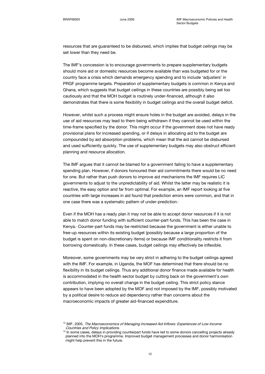resources that are guaranteed to be disbursed, which implies that budget ceilings may be set lower than they need be.

The IMF's concession is to encourage governments to prepare supplementary budgets should more aid or domestic resources become available than was budgeted for or the country face a crisis which demands emergency spending and to include 'adjusters' in PRGF programme targets. Preparation of supplementary budgets is common in Kenya and Ghana, which suggests that budget ceilings in these countries are possibly being set too cautiously and that the MOH budget is routinely under-financed, although it also demonstrates that there is some flexibility in budget ceilings and the overall budget deficit.

However, whilst such a process might ensure holes in the budget are avoided, delays in the use of aid resources may lead to them being withdrawn if they cannot be used within the time-frame specified by the donor. This might occur if the government does not have ready provisional plans for increased spending, or if delays in allocating aid to the budget are compounded by aid absorption problems, which mean that the aid cannot be disbursed and used sufficiently quickly. The use of supplementary budgets may also obstruct efficient planning and resource allocation.

The IMF argues that it cannot be blamed for a government failing to have a supplementary spending plan. However, if donors honoured their aid commitments there would be no need for one. But rather than push donors to improve aid mechanisms the IMF requires LIC governments to adjust to the unpredictability of aid. Whilst the latter may be realistic it is reactive, the easy option and far from optimal. For example, an IMF report looking at five countries with large increases in aid found that prediction errors were common, and that in one case there was a systematic pattern of under-prediction.<sup>1</sup>

Even if the MOH has a ready plan it may not be able to accept donor resources if it is not able to match donor funding with sufficient counter-part funds. This has been the case in Kenya.<sup>®</sup> Counter-part funds may be restricted because the government is either unable to free-up resources within its existing budget (possibly because a large proportion of the budget is spent on non-discretionary items) or because IMF conditionality restricts it from borrowing domestically. In these cases, budget ceilings may effectively be inflexible.

Moreover, some governments may be very strict in adhering to the budget ceilings agreed with the IMF. For example, in Uganda, the MOF has determined that there should be no flexibility in its budget ceilings. Thus any additional donor finance made available for health is accommodated in the health sector budget by cutting back on the government's own contribution, implying no overall change in the budget ceiling. This strict policy stance appears to have been adopted by the MOF and not imposed by the IMF, possibly motivated by a political desire to reduce aid dependency rather than concerns about the macroeconomic impacts of greater aid-financed expenditure.

<sup>&</sup>lt;sup>12</sup> IMF, 2005, The Macroeconomics of Managing Increased Aid Inflows: Experiences of Low-Income Countries and Policy Implications.

<sup>&</sup>lt;sup>13</sup> In some cases, delays in providing counterpart funds have led to some donors cancelling projects already planned into the MOH's programme. Improved budget management processes and donor harmonisation might help prevent this in the future.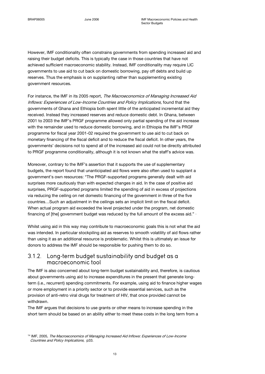However, IMF conditionality often constrains governments from spending increased aid and raising their budget deficits. This is typically the case in those countries that have not achieved sufficient macroeconomic stability. Instead, IMF conditionality may require LIC governments to use aid to cut back on domestic borrowing, pay off debts and build up reserves. Thus the emphasis is on supplanting rather than supplementing existing government resources.

For instance, the IMF in its 2005 report, The Macroeconomics of Managing Increased Aid Inflows: Experiences of Low-Income Countries and Policy Implications, found that the governments of Ghana and Ethiopia both spent little of the anticipated incremental aid they received. Instead they increased reserves and reduce domestic debt. In Ghana, between 2001 to 2003 the IMF's PRGF programme allowed only partial spending of the aid increase with the remainder used to reduce domestic borrowing, and in Ethiopia the IMF's PRGF programme for fiscal year 2001-02 required the government to use aid to cut back on monetary financing of the fiscal deficit and to reduce the fiscal deficit. In other years, the governments' decisions not to spend all of the increased aid could not be directly attributed to PRGF programme conditionality, although it is not known what the staff's advice was.

Moreover, contrary to the IMF's assertion that it supports the use of supplementary budgets, the report found that unanticipated aid flows were also often used to supplant a government's own resources: "The PRGF-supported programs generally dealt with aid surprises more cautiously than with expected changes in aid. In the case of positive aid surprises, PRGF-supported programs limited the spending of aid in excess of projections via reducing the ceiling on net domestic financing of the government in three of the five countries…Such an adjustment in the ceilings sets an implicit limit on the fiscal deficit. When actual program aid exceeded the level projected under the program, net domestic financing of [the] government budget was reduced by the full amount of the excess aid." $\,$   $\,$ 

Whilst using aid in this way may contribute to macroeconomic goals this is not what the aid was intended. In particular stockpiling aid as reserves to smooth volatility of aid flows rather than using it as an additional resource is problematic. Whilst this is ultimately an issue for donors to address the IMF should be responsible for pushing them to do so.

### 3.1.2. Long-term budget sustainability and budget as a macroeconomic tool

The IMF is also concerned about long-term budget sustainability and, therefore, is cautious about governments using aid to increase expenditures in the present that generate longterm (i.e., recurrent) spending commitments. For example, using aid to finance higher wages or more employment in a priority sector or to provide essential services, such as the provision of anti-retro viral drugs for treatment of HIV, that once provided cannot be withdrawn.

The IMF argues that decisions to use grants or other means to increase spending in the short term should be based on an ability either to meet these costs in the long term from a

<sup>&</sup>lt;sup>14</sup> IMF, 2005, The Macroeconomics of Managing Increased Aid Inflows: Experiences of Low-Income Countries and Policy Implications, p33.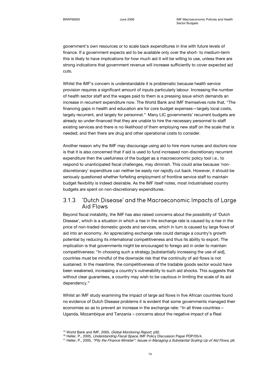government's own resources or to scale back expenditures in line with future levels of finance. If a government expects aid to be available only over the short- to medium-term this is likely to have implications for how much aid it will be willing to use, unless there are strong indications that government revenue will increase sufficiently to cover expected aid cuts.

Whilst the IMF's concern is understandable it is problematic because health service provision requires a significant amount of inputs particularly labour. Increasing the number of health sector staff and the wages paid to them is a pressing issue which demands an increase in recurrent expenditure now. The World Bank and IMF themselves note that, "The financing gaps in health and education are for core budget expenses—largely local costs, largely recurrent, and largely for personnel." Many LIC governments' recurrent budgets are already so under-financed that they are unable to hire the necessary personnel to staff existing services and there is no likelihood of them employing new staff on the scale that is needed; and then there are drug and other operational costs to consider.

Another reason why the IMF may discourage using aid to hire more nurses and doctors now is that it is also concerned that if aid is used to fund increased non-discretionary recurrent expenditure then the usefulness of the budget as a macroeconomic policy tool i.e., to respond to unanticipated fiscal challenges, may diminish. This could arise because 'nondiscretionary' expenditure can neither be easily nor rapidly cut back. However, it should be seriously questioned whether forfeiting employment of frontline service staff to maintain budget flexibility is indeed desirable. As the IMF itself notes, most industrialised country budgets are spent on non-discretionary expenditures.<sup>®</sup>

#### 3.1.3. 'Dutch Disease' and the Macroeconomic Impacts of Large Aid Flows

Beyond fiscal instability, the IMF has also raised concerns about the possibility of 'Dutch Disease', which is a situation in which a rise in the exchange rate is caused by a rise in the price of non-traded domestic goods and services, which in turn is caused by large flows of aid into an economy. An appreciating exchange rate could damage a country's growth potential by reducing its international competitiveness and thus its ability to export. The implication is that governments might be encouraged to forego aid in order to maintain competitiveness: "In choosing such a strategy [substantially increasing the use of aid], countries must be mindful of the downside risk that the continuity of aid flows is not sustained. In the meantime, the competitiveness of the tradable goods sector would have been weakened, increasing a country's vulnerability to such aid shocks. This suggests that without clear guarantees, a country may wish to be cautious in limiting the scale of its aid dependency."<sup>1</sup>

Whilst an IMF study examining the impact of large aid flows in five African countries found no evidence of Dutch Disease problems it is evident that some governments managed their economies so as to prevent an increase in the exchange rate: "In all three countries – Uganda, Mozambique and Tanzania – concerns about the negative impact of a Real

<sup>&</sup>lt;sup>15</sup> World Bank and IMF, 2005, *Global Monitoring Report*, p92.

<sup>&</sup>lt;sup>16</sup> Heller, P., 2005, Understanding Fiscal Space, IMF Policy Discussion Paper PDP/05/4.

<sup>&</sup>lt;sup>17</sup> Heller, P., 2005, "Pity the Finance Minister": Issues in Managing a Substantial Scaling Up of Aid Flows, p6.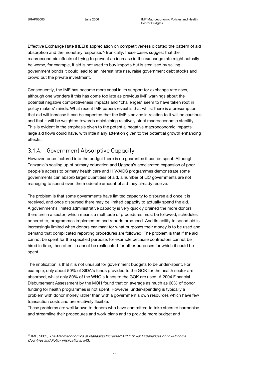Effective Exchange Rate (REER) appreciation on competitiveness dictated the pattern of aid absorption and the monetary response." Ironically, these cases suggest that the macroeconomic effects of trying to prevent an increase in the exchange rate might actually be worse, for example, if aid is not used to buy imports but is sterilised by selling government bonds it could lead to an interest rate rise, raise government debt stocks and crowd out the private investment.

Consequently, the IMF has become more vocal in its support for exchange rate rises, although one wonders if this has come too late as previous IMF warnings about the potential negative competitiveness impacts and "challenges" seem to have taken root in policy makers' minds. What recent IMF papers reveal is that whilst there is a presumption that aid will increase it can be expected that the IMF's advice in relation to it will be cautious and that it will be weighted towards maintaining relatively strict macroeconomic stability. This is evident in the emphasis given to the potential negative macroeconomic impacts large aid flows could have, with little if any attention given to the potential growth enhancing effects.

### 3.1.4. Government Absorptive Capacity

However, once factored into the budget there is no guarantee it can be spent. Although Tanzania's scaling up of primary education and Uganda's accelerated expansion of poor people's access to primary health care and HIV/AIDS programmes demonstrate some governments can absorb larger quantities of aid, a number of LIC governments are not managing to spend even the moderate amount of aid they already receive.

The problem is that some governments have limited capacity to disburse aid once it is received, and once disbursed there may be limited capacity to actually spend the aid. A government's limited administrative capacity is very quickly drained the more donors there are in a sector, which means a multitude of procedures must be followed, schedules adhered to, programmes implemented and reports produced. And its ability to spend aid is increasingly limited when donors ear-mark for what purposes their money is to be used and demand that complicated reporting procedures are followed. The problem is that if the aid cannot be spent for the specified purpose, for example because contractors cannot be hired in time, then often it cannot be reallocated for other purposes for which it could be spent.

The implication is that it is not unusual for government budgets to be under-spent. For example, only about 50% of SIDA's funds provided to the GOK for the health sector are absorbed, whilst only 80% of the WHO's funds to the GOK are used. A 2004 Financial Disbursement Assessment by the MOH found that on average as much as 60% of donor funding for health programmes is not spent. However, under-spending is typically a problem with donor money rather than with a government's own resources which have few transaction costs and are relatively flexible.

These problems are well known to donors who have committed to take steps to harmonise and streamline their procedures and work plans and to provide more budget and

<sup>18</sup> IMF, 2005, The Macroeconomics of Managing Increased Aid Inflows: Experiences of Low-Income Countries and Policy Implications, p43.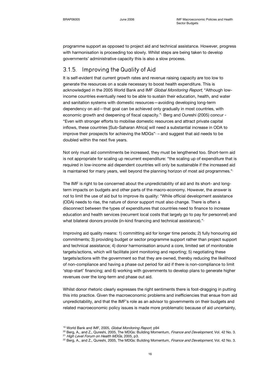programme support as opposed to project aid and technical assistance. However, progress with harmonisation is proceeding too slowly. Whilst steps are being taken to develop governments' administrative capacity this is also a slow process.

### 3.1.5. Improving the Quality of Aid

It is self-evident that current growth rates and revenue raising capacity are too low to generate the resources on a scale necessary to boost health expenditure. This is acknowledged in the 2005 World Bank and IMF Global Monitoring Report, "Although lowincome countries eventually need to be able to sustain their education, health, and water and sanitation systems with domestic resources—avoiding developing long-term dependency on aid—that goal can be achieved only gradually in most countries, with economic growth and deepening of fiscal capacity." Berg and Oureshi (2005) concur -"Even with stronger efforts to mobilise domestic resources and attract private capital inflows, these countries [Sub-Saharan Africa] will need a substantial increase in ODA to improve their prospects for achieving the MDGs" $<sup>2</sup>$  – and suggest that aid needs to be</sup> doubled within the next five years.

Not only must aid commitments be increased, they must be lengthened too. Short-term aid is not appropriate for scaling up recurrent expenditure: "the scaling up of expenditure that is required in low-income aid dependent countries will only be sustainable if the increased aid is maintained for many years, well beyond the planning horizon of most aid programmes."

The IMF is right to be concerned about the unpredictability of aid and its short- and longterm impacts on budgets and other parts of the macro-economy. However, the answer is not to limit the use of aid but to improve its quality: "While official development assistance (ODA) needs to rise, the nature of donor support must also change. There is often a disconnect between the types of expenditures that countries need to finance to increase education and health services (recurrent local costs that largely go to pay for personnel) and what bilateral donors provide (in-kind financing and technical assistance)."<sup>2</sup>

Improving aid quality means: 1) committing aid for longer time periods; 2) fully honouring aid commitments; 3) providing budget or sector programme support rather than project support and technical assistance; 4) donor harmonisation around a core, limited set of monitorable targets/actions, which will facilitate joint monitoring and reporting; 5) negotiating these targets/actions with the government so that they are owned, thereby reducing the likelihood of non-compliance and having a phase out period for aid if there is non-compliance to limit 'stop-start' financing; and 6) working with governments to develop plans to generate higher revenues over the long-term and phase out aid.

Whilst donor rhetoric clearly expresses the right sentiments there is foot-dragging in putting this into practice. Given the macroeconomic problems and inefficiencies that ensue from aid unpredictability, and that the IMF's role as an advisor to governments on their budgets and related macroeconomic policy issues is made more problematic because of aid uncertainty,

<sup>&</sup>lt;sup>19</sup> World Bank and IMF, 2005, Global Monitoring Report, p94

<sup>&</sup>lt;sup>20</sup> Berg, A., and Z., Qureshi, 2005, The MDGs: Building Momentum, Finance and Development, Vol. 42 No. 3. <sup>21</sup> High Level Forum on Health MDGs, 2005, p3.

<sup>&</sup>lt;sup>22</sup> Berg, A., and Z., Qureshi, 2005, The MDGs: Building Momentum, Finance and Development, Vol. 42 No. 3.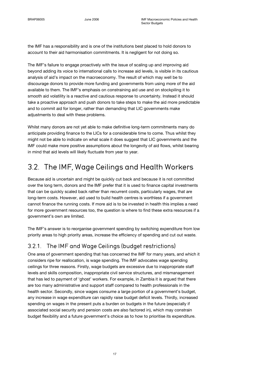the IMF has a responsibility and is one of the institutions best placed to hold donors to account to their aid harmonisation commitments. It is negligent for not doing so.

The IMF's failure to engage proactively with the issue of scaling up and improving aid beyond adding its voice to international calls to increase aid levels, is visible in its cautious analysis of aid's impact on the macroeconomy. The result of which may well be to discourage donors to provide more funding and governments from using more of the aid available to them. The IMF's emphasis on constraining aid use and on stockpiling it to smooth aid volatility is a reactive and cautious response to uncertainty. Instead it should take a proactive approach and push donors to take steps to make the aid more predictable and to commit aid for longer, rather than demanding that LIC governments make adjustments to deal with these problems.

Whilst many donors are not yet able to make definitive long-term commitments many do anticipate providing finance to the LICs for a considerable time to come. Thus whilst they might not be able to indicate on what scale it does suggest that LIC governments and the IMF could make more positive assumptions about the longevity of aid flows, whilst bearing in mind that aid levels will likely fluctuate from year to year.

## 3.2. The IMF, Wage Ceilings and Health Workers

Because aid is uncertain and might be quickly cut back and because it is not committed over the long term, donors and the IMF prefer that it is used to finance capital investments that can be quickly scaled back rather than recurrent costs, particularly wages, that are long-term costs. However, aid used to build health centres is worthless if a government cannot finance the running costs. If more aid is to be invested in health this implies a need for more government resources too, the question is where to find these extra resources if a government's own are limited.

The IMF's answer is to reorganise government spending by switching expenditure from low priority areas to high priority areas, increase the efficiency of spending and cut out waste.

### 3.2.1. The IMF and Wage Ceilings (budget restrictions)

One area of government spending that has concerned the IMF for many years, and which it considers ripe for reallocation, is wage spending. The IMF advocates wage spending ceilings for three reasons. Firstly, wage budgets are excessive due to inappropriate staff levels and skills composition, inappropriate civil service structures, and mismanagement that has led to payment of 'ghost' workers. For example, in Zambia it is argued that there are too many administrative and support staff compared to health professionals in the health sector. Secondly, since wages consume a large portion of a government's budget, any increase in wage expenditure can rapidly raise budget deficit levels. Thirdly, increased spending on wages in the present puts a burden on budgets in the future (especially if associated social security and pension costs are also factored in), which may constrain budget flexibility and a future government's choice as to how to prioritise its expenditure.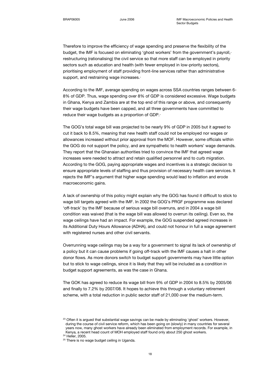Therefore to improve the efficiency of wage spending and preserve the flexibility of the budget, the IMF is focused on eliminating 'ghost workers' from the government's payroll, restructuring (rationalising) the civil service so that more staff can be employed in priority sectors such as education and health (with fewer employed in low-priority sectors), prioritising employment of staff providing front-line services rather than administrative support, and restraining wage increases.<sup>4</sup>

According to the IMF, average spending on wages across SSA countries ranges between 6- 8% of GDP. Thus, wage spending over 8% of GDP is considered excessive. Wage budgets in Ghana, Kenya and Zambia are at the top end of this range or above, and consequently their wage budgets have been capped, and all three governments have committed to reduce their wage budgets as a proportion of GDP.<sup>26</sup>

The GOG's total wage bill was projected to be nearly 9% of GDP in 2005 but it agreed to cut it back to 8.5%, meaning that new health staff could not be employed nor wages or allowances increased without prior approval from the MOF. However, some officials within the GOG do not support the policy, and are sympathetic to health workers' wage demands. They report that the Ghanaian authorities tried to convince the IMF that agreed wage increases were needed to attract and retain qualified personnel and to curb migration. According to the GOG, paying appropriate wages and incentives is a strategic decision to ensure appropriate levels of staffing and thus provision of necessary health care services. It rejects the IMF's argument that higher wage spending would lead to inflation and erode macroeconomic gains.

A lack of ownership of this policy might explain why the GOG has found it difficult to stick to wage bill targets agreed with the IMF. In 2002 the GOG's PRGF programme was declared 'off-track' by the IMF because of serious wage bill overruns, and in 2004 a wage bill condition was waived (that is the wage bill was allowed to overrun its ceiling). Even so, the wage ceilings have had an impact. For example, the GOG suspended agreed increases in its Additional Duty Hours Allowance (ADHA), and could not honour in full a wage agreement with registered nurses and other civil servants.

Overrunning wage ceilings may be a way for a government to signal its lack of ownership of a policy but it can cause problems if going off-track with the IMF causes a halt in other donor flows. As more donors switch to budget support governments may have little option but to stick to wage ceilings, since it is likely that they will be included as a condition in budget support agreements, as was the case in Ghana.

The GOK has agreed to reduce its wage bill from 9% of GDP in 2004 to 8.5% by 2005/06 and finally to 7.2% by 2007/08. It hopes to achieve this through a voluntary retirement scheme, with a total reduction in public sector staff of 21,000 over the medium-term.

<sup>&</sup>lt;sup>23</sup> Often it is argued that substantial wage savings can be made by eliminating 'ghost' workers. However, during the course of civil service reform, which has been going on (slowly) in many countries for several years now, many ghost workers have already been eliminated from employment records. For example, in Kenya, a recent head count of MOH employed staff found only about 250 ghost workers.

<sup>24</sup> Heller, 2005.

<sup>&</sup>lt;sup>25</sup> There is no wage budget ceiling in Uganda.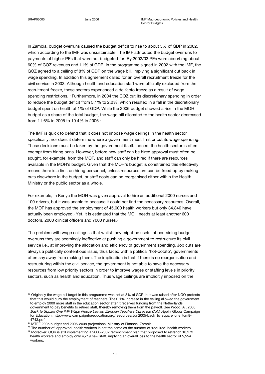In Zambia, budget overruns caused the budget deficit to rise to about 5% of GDP in 2002, which according to the IMF was unsustainable. The IMF attributed the budget overruns to payments of higher PEs that were not budgeted for. By 2002/03 PEs were absorbing about 60% of GOZ revenues and 11% of GDP. In the programme signed in 2002 with the IMF, the GOZ agreed to a ceiling of 8% of GDP on the wage bill, implying a significant cut back in wage spending. In addition this agreement called for an overall recruitment freeze for the civil service in 2003. Although health and education staff were officially excluded from the recruitment freeze, these sectors experienced a de-facto freeze as a result of wage spending restrictions. Eurthermore, in 2004 the GOZ cut its discretionary spending in order to reduce the budget deficit from 5.1% to 2.2%, which resulted in a fall in the discretionary budget spent on health of 1% of GDP. While the 2006 budget showed a rise in the MOH budget as a share of the total budget, the wage bill allocated to the health sector decreased from 11.6% in 2005 to 10.4% in 2006.<sup>2</sup>

The IMF is quick to defend that it does not impose wage ceilings in the health sector specifically, nor does it determine where a government must limit or cut its wage spending. These decisions must be taken by the government itself. Indeed, the health sector is often exempt from hiring bans. However, before new staff can be hired approval must often be sought, for example, from the MOF, and staff can only be hired if there are resources available in the MOH's budget. Given that the MOH's budget is constrained this effectively means there is a limit on hiring personnel, unless resources are can be freed up by making cuts elsewhere in the budget, or staff costs can be reorganised either within the Health Ministry or the public sector as a whole.

For example, in Kenya the MOH was given approval to hire an additional 2000 nurses and 100 drivers, but it was unable to because it could not find the necessary resources. Overall, the MOF has approved the employment of 45,000 health workers but only 34,840 have actually been employed.<sup>2</sup> Yet, it is estimated that the MOH needs at least another 600 doctors, 2000 clinical officers and 7000 nurses.<sup>®</sup>

The problem with wage ceilings is that whilst they might be useful at containing budget overruns they are seemingly ineffective at pushing a government to restructure its civil service i.e., at improving the allocation and efficiency of government spending. Job cuts are always a politically contentious issue, thus faced with a political 'hot-potato', governments often shy away from making them. The implication is that if there is no reorganisation and restructuring within the civil service, the government is not able to save the necessary resources from low priority sectors in order to improve wages or staffing levels in priority sectors, such as health and education. Thus wage ceilings are implicitly imposed on the

<sup>&</sup>lt;sup>26</sup> Originally the wage bill target in this programme was set at 8% of GDP, but was raised after NGO protests that this would curb the employment of teachers. The 0.1% increase in the ceiling allowed the government to employ 2000 more staff in the education sector after it received funding from the Netherlands government to pay benefits to retired staff, thereby removing them from the payroll. See Wood, A., 2005, Back to Square One IMF Wage Freeze Leaves Zambian Teachers Out in the Cold. Again, Global Campaign for Education: http://www.campaignforeducation.org/resources/Jun2005/back\_to\_square\_one\_tcm8-4743.pdf

<sup>&</sup>lt;sup>27</sup> MTEF 2005 budget and 2006-2008 projections, Ministry of Finance, Zambia

 $28$  The number of 'approved' health workers is not the same as the number of 'required' health workers.

<sup>&</sup>lt;sup>29</sup> Moreover, GOK is still implementing a 2000-2002 retrenchment plan that proposed to retrench 10,273 health workers and employ only 4,719 new staff, implying an overall loss to the health sector of 5,554 workers.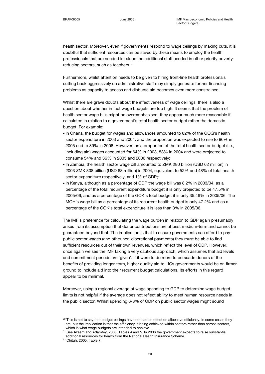health sector. Moreover, even if governments respond to wage ceilings by making cuts, it is doubtful that sufficient resources can be saved by these means to employ the health professionals that are needed let alone the additional staff needed in other priority povertyreducing sectors, such as teachers. »

Furthermore, whilst attention needs to be given to hiring front-line health professionals cutting back aggressively on administrative staff may simply generate further financing problems as capacity to access and disburse aid becomes even more constrained.

Whilst there are grave doubts about the effectiveness of wage ceilings, there is also a question about whether in fact wage budgets are too high. It seems that the problem of health sector wage bills might be overemphasised: they appear much more reasonable if calculated in relation to a government's total health sector budget rather the domestic budget. For example:

- In Ghana, the budget for wages and allowances amounted to 82% of the GOG's health sector expenditure in 2003 and 2004, and the proportion was expected to rise to 86% in 2005 and to 89% in 2006. However, as a proportion of the total health sector budget (i.e., including aid) wages accounted for 64% in 2003, 58% in 2004 and were projected to consume 54% and 36% in 2005 and 2006 respectively; $\cdot$
- In Zambia, the health sector wage bill amounted to ZMK 280 billion (USD 62 million) in 2003 ZMK 308 billion (USD 68 million) in 2004, equivalent to 52% and 48% of total health sector expenditure respectively, and 1% of GDP;
- In Kenya, although as a percentage of GDP the wage bill was 8.2% in 2003/04, as a percentage of the total recurrent expenditure budget it is only projected to be 47.5% in 2005/06, and as a percentage of the GOK's total budget it is only 35.46% in 2005/06. The MOH's wage bill as a percentage of its recurrent health budget is only 47.2% and as a percentage of the GOK's total expenditure it is less than 3% in 2005/06.

The IMF's preference for calculating the wage burden in relation to GDP again presumably arises from its assumption that donor contributions are at best medium-term and cannot be guaranteed beyond that. The implication is that to ensure governments can afford to pay public sector wages (and other non-discretional payments) they must be able to find sufficient resources out of their own revenues, which reflect the level of GDP. However, once again we see the IMF taking a very cautious approach, which assumes that aid levels and commitment periods are 'given'. If it were to do more to persuade donors of the benefits of providing longer-term, higher quality aid to LICs governments would be on firmer ground to include aid into their recurrent budget calculations. Its efforts in this regard appear to be minimal.

Moreover, using a regional average of wage spending to GDP to determine wage budget limits is not helpful if the average does not reflect ability to meet human resource needs in the public sector. Whilst spending 6-8% of GDP on public sector wages might sound

<sup>30</sup> This is not to say that budget ceilings have not had an effect on allocative efficiency. In some cases they are, but the implication is that the efficiency is being achieved within sectors rather than across sectors, which is what wage budgets are intended to achieve.

<sup>&</sup>lt;sup>31</sup> See Azeem and Adamtey, 2005, Tables 4 and 5. In 2006 the government expects to raise substantial additional resources for health from the National Health Insurance Scheme.

<sup>32</sup> Chitah, 2005, Table 7.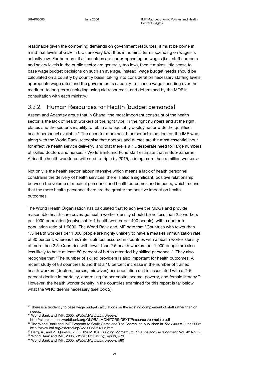reasonable given the competing demands on government resources, it must be borne in mind that levels of GDP in LICs are very low, thus in nominal terms spending on wages is actually low. Furthermore, if all countries are under-spending on wages (i.e., staff numbers and salary levels in the public sector are generally too low), then it makes little sense to base wage budget decisions on such an average. Instead, wage budget needs should be calculated on a country by country basis, taking into consideration necessary staffing levels, appropriate wage rates and the government's capacity to finance wage spending over the medium- to long-term (including using aid resources), and determined by the MOF in consultation with each ministry.<sup>31</sup>

### 3.2.2. Human Resources for Health (budget demands)

Azeem and Adamtey argue that in Ghana "the most important constraint of the health sector is the lack of health workers of the right type, in the right numbers and at the right places and the sector's inability to retain and equitably deploy nationwide the qualified health personnel available." The need for more health personnel is not lost on the IMF who, along with the World Bank, recognise that doctors and nurses are the most essential input for effective health service delivery, and that there is a "... desperate need for large numbers of skilled doctors and nurses." World Bank and Fund staff estimate that in Sub-Saharan Africa the health workforce will need to triple by 2015, adding more than a million workers.<sup>3</sup>

Not only is the health sector labour intensive which means a lack of health personnel constrains the delivery of health services, there is also a significant, positive relationship between the volume of medical personnel and health outcomes and impacts, which means that the more health personnel there are the greater the positive impact on health outcomes.

The World Health Organisation has calculated that to achieve the MDGs and provide reasonable health care coverage health worker density should be no less than 2.5 workers per 1000 population (equivalent to 1 health worker per 400 people), with a doctor to population ratio of 1:5000. The World Bank and IMF note that "Countries with fewer than 1.5 health workers per 1,000 people are highly unlikely to have a measles immunization rate of 80 percent, whereas this rate is almost assured in countries with a health worker density of more than 2.5. Countries with fewer than 2.5 health workers per 1,000 people are also less likely to have at least 80 percent of births attended by skilled personnel." They also recognise that "The number of skilled providers is also important for health outcomes. A recent study of 83 countries found that a 10 percent increase in the number of trained health workers (doctors, nurses, midwives) per population unit is associated with a 2–5 percent decline in mortality, controlling for per capita income, poverty, and female literacy."-However, the health worker density in the countries examined for this report is far below what the WHO deems necessary (see box 2).

<sup>33</sup> There is a tendency to base wage budget calculations on the existing complement of staff rather than on needs.

<sup>&</sup>lt;sup>34</sup> World Bank and IMF, 2005, Global Monitoring Report.

http://siteresources.worldbank.org/GLOBALMONITORINGEXT/Resources/complete.pdf

<sup>&</sup>lt;sup>35</sup> The World Bank and IMF Respond to Gorik Ooms and Ted Schrecker, published in *The Lancet*, June 2005: http://www.imf.org/external/np/vc/2005/061805.htm

<sup>&</sup>lt;sup>36</sup> Berg, A., and Z., Qureshi, 2005, The MDGs: Building Momentum, Finance and Development, Vol. 42 No. 3.

<sup>&</sup>lt;sup>37</sup> World Bank and IMF, 2005, Global Monitoring Report, p79.

<sup>38</sup> World Bank and IMF, 2005, Global Monitoring Report, p80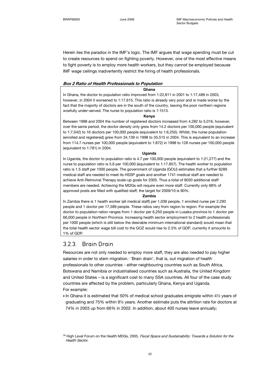Herein lies the paradox in the IMF's logic. The IMF argues that wage spending must be cut to create resources to spend on fighting poverty. However, one of the most effective means to fight poverty is to employ more health workers, but they cannot be employed because IMF wage ceilings inadvertently restrict the hiring of health professionals.

#### Box 2 Ratio of Health Professionals to Population

#### Ghana

In Ghana, the doctor to population ratio improved from 1:22,811 in 2001 to 1:17,489 in 2003, however, in 2004 it worsened to 1:17,615. This ratio is already very poor and is made worse by the fact that the majority of doctors are in the south of the country, leaving the poor northern regions woefully under-served. The nurse to population ratio is 1:1513.

#### Kenya

Between 1998 and 2004 the number of registered doctors increased from 4,282 to 5,016, however, over the same period, the doctor density only grew from 14.2 doctors per 100,000 people (equivalent to 1:7,042) to 16 doctors per 100,000 people (equivalent to 1:6,250). Whilst, the nurse population (enrolled and registered) grew from 34,139 in 1998 to 35,515 in 2004. This is equivalent to an increase from 114.7 nurses per 100,000 people (equivalent to 1:872) in 1998 to 128 nurses per 100,000 people (equivalent to 1:781) in 2004.

#### Uganda

In Uganda, the doctor to population ratio is 4.7 per 100,000 people (equivalent to 1:21,277) and the nurse to population ratio is 5.6 per 100,000 (equivalent to 1:17,857). The health worker to population ratio is 1.5 staff per 1000 people. The government of Uganda (GOU) estimates that a further 6289 medical staff are needed to meet its HSSP goals and another 1741 medical staff are needed to achieve Anti-Retroviral Therapy scale-up goals for 2005. Thus a total of 8030 additional staff members are needed. Achieving the MDGs will require even more staff. Currently only 68% of approved posts are filled with qualified staff; the target for 2009/10 is 90%.

#### Zambia

In Zambia there is 1 health worker (all medical staff) per 1,039 people, 1 enrolled nurse per 2,293 people and 1 doctor per 17,589 people. These ratios vary from region to region. For example the doctor to population ration ranges from 1 doctor per 6,250 people in Lusaka province to 1 doctor per 66,000 people in Northern Province. Increasing health sector employment to 2 health professionals per 1000 people (which is still below the desirable minimum international standard) would mean that the total health sector wage bill cost to the GOZ would rise to 2.3% of GDP, currently it amounts to 1% of GDP.

### 3.2.3. Brain Drain

Resources are not only needed to employ more staff, they are also needed to pay higher salaries in order to stem migration.<sup>®</sup> 'Brain drain', that is, out migration of health professionals to other countries - either neighbouring countries such as South Africa, Botswana and Namibia or industrialised countries such as Australia, the United Kingdom and United States – is a significant cost to many SSA countries. All four of the case study countries are affected by the problem, particularly Ghana, Kenya and Uganda. For example:

• In Ghana it is estimated that 50% of medical school graduates emigrate within 4½ years of graduating and 75% within 9½ years. Another estimate puts the attrition rate for doctors at 74% in 2003 up from 66% in 2002. In addition, about 400 nurses leave annually;

<sup>&</sup>lt;sup>39</sup> High Level Forum on the Health MDGs, 2005, *Fiscal Space and Sustainability: Towards a Solution for the* Health Sector.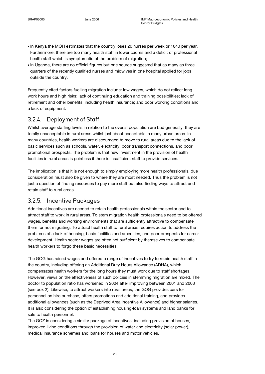- In Kenya the MOH estimates that the country loses 20 nurses per week or 1040 per year. Furthermore, there are too many health staff in lower cadres and a deficit of professional health staff which is symptomatic of the problem of migration;
- In Uganda, there are no official figures but one source suggested that as many as threequarters of the recently qualified nurses and midwives in one hospital applied for jobs outside the country.

Frequently cited factors fuelling migration include: low wages, which do not reflect long work hours and high risks; lack of continuing education and training possibilities; lack of retirement and other benefits, including health insurance; and poor working conditions and a lack of equipment.

### 3.2.4. Deployment of Staff

Whilst average staffing levels in relation to the overall population are bad generally, they are totally unacceptable in rural areas whilst just about acceptable in many urban areas. In many countries, health workers are discouraged to move to rural areas due to the lack of basic services such as schools, water, electricity, poor transport connections, and poor promotional prospects. The problem is that new investment in the provision of health facilities in rural areas is pointless if there is insufficient staff to provide services.

The implication is that it is not enough to simply employing more health professionals, due consideration must also be given to where they are most needed. Thus the problem is not just a question of finding resources to pay more staff but also finding ways to attract and retain staff to rural areas.

### 3.2.5. Incentive Packages

Additional incentives are needed to retain health professionals within the sector and to attract staff to work in rural areas. To stem migration health professionals need to be offered wages, benefits and working environments that are sufficiently attractive to compensate them for not migrating. To attract health staff to rural areas requires action to address the problems of a lack of housing, basic facilities and amenities, and poor prospects for career development. Health sector wages are often not sufficient by themselves to compensate health workers to forgo these basic necessities.

The GOG has raised wages and offered a range of incentives to try to retain health staff in the country, including offering an Additional Duty Hours Allowance (ADHA), which compensates health workers for the long hours they must work due to staff shortages. However, views on the effectiveness of such policies in stemming migration are mixed. The doctor to population ratio has worsened in 2004 after improving between 2001 and 2003 (see box 2). Likewise, to attract workers into rural areas, the GOG provides cars for personnel on hire purchase, offers promotions and additional training, and provides additional allowances (such as the Deprived Area Incentive Allowance) and higher salaries. It is also considering the option of establishing housing-loan systems and land banks for sale to health personnel.

The GOZ is considering a similar package of incentives, including provision of houses, improved living conditions through the provision of water and electricity (solar power), medical insurance schemes and loans for houses and motor vehicles.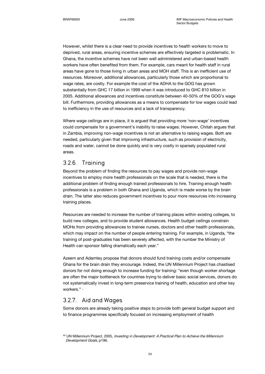However, whilst there is a clear need to provide incentives to health workers to move to deprived, rural areas, ensuring incentive schemes are effectively targeted is problematic. In Ghana, the incentive schemes have not been well administered and urban-based health workers have often benefited from them. For example, cars meant for health staff in rural areas have gone to those living in urban areas and MOH staff. This is an inefficient use of resources. Moreover, additional allowances, particularly those which are proportional to wage rates, are costly. For example the cost of the ADHA to the GOG has grown substantially from GHC 17 billion in 1999 when it was introduced to GHC 810 billion in 2005. Additional allowances and incentives constitute between 40-50% of the GOG's wage bill. Furthermore, providing allowances as a means to compensate for low wages could lead to inefficiency in the use of resources and a lack of transparency.

Where wage ceilings are in place, it is argued that providing more 'non-wage' incentives could compensate for a government's inability to raise wages. However, Chitah argues that in Zambia, improving non-wage incentives is not an alternative to raising wages. Both are needed, particularly given that improving infrastructure, such as provision of electricity, roads and water, cannot be done quickly and is very costly in sparsely populated rural areas.

### 3.2.6. Training

Beyond the problem of finding the resources to pay wages and provide non-wage incentives to employ more health professionals on the scale that is needed, there is the additional problem of finding enough trained professionals to hire. Training enough health professionals is a problem in both Ghana and Uganda, which is made worse by the brain drain. The latter also reduces government incentives to pour more resources into increasing training places.

Resources are needed to increase the number of training places within existing colleges, to build new colleges, and to provide student allowances. Health budget ceilings constrain MOHs from providing allowances to trainee nurses, doctors and other health professionals, which may impact on the number of people entering training. For example, in Uganda, "the training of post-graduates has been severely affected, with the number the Ministry of Health can sponsor falling dramatically each year."

Azeem and Adamtey propose that donors should fund training costs and/or compensate Ghana for the brain drain they encourage. Indeed, the UN Millennium Project has chastised donors for not doing enough to increase funding for training: "even though worker shortage are often the major bottleneck for countries trying to deliver basic social services, donors do not systematically invest in long-term preservice training of health, education and other key workers." -

### 3.2.7. Aid and Wages

Some donors are already taking positive steps to provide both general budget support and to finance programmes specifically focused on increasing employment of health

<sup>&</sup>lt;sup>40</sup> UN Millennium Project, 2005, Investing in Development: A Practical Plan to Achieve the Millennium Development Goals, p196.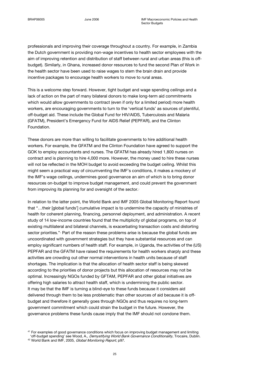professionals and improving their coverage throughout a country. For example, in Zambia the Dutch government is providing non-wage incentives to health sector employees with the aim of improving retention and distribution of staff between rural and urban areas (this is offbudget). Similarly, in Ghana, increased donor resources to fund the second Plan of Work in the health sector have been used to raise wages to stem the brain drain and provide incentive packages to encourage health workers to move to rural areas.

This is a welcome step forward. However, tight budget and wage spending ceilings and a lack of action on the part of many bilateral donors to make long-term aid commitments which would allow governments to contract (even if only for a limited period) more health workers, are encouraging governments to turn to the 'vertical funds' as sources of plentiful, off-budget aid. These include the Global Fund for HIV/AIDS, Tuberculosis and Malaria (GFATM), President's Emergency Fund for AIDS Relief (PEPFAR), and the Clinton Foundation.

These donors are more than willing to facilitate governments to hire additional health workers. For example, the GFATM and the Clinton Foundation have agreed to support the GOK to employ accountants and nurses. The GFATM has already hired 1,800 nurses on contract and is planning to hire 4,000 more. However, the money used to hire these nurses will not be reflected in the MOH budget to avoid exceeding the budget ceiling. Whilst this might seem a practical way of circumventing the IMF's conditions, it makes a mockery of the IMF's wage ceilings, undermines good governance an aim of which is to bring donor resources on-budget to improve budget management, and could prevent the government from improving its planning for and oversight of the sector.<sup>41</sup>

In relation to the latter point, the World Bank and IMF 2005 Global Monitoring Report found that "…their [global funds'] cumulative impact is to undermine the capacity of ministries of health for coherent planning, financing, personnel deployment, and administration. A recent study of 14 low-income countries found that the multiplicity of global programs, on top of existing multilateral and bilateral channels, is exacerbating transaction costs and distorting sector priorities."<sup>4</sup> Part of the reason these problems arise is because the global funds are uncoordinated with government strategies but they have substantial resources and can employ significant numbers of health staff. For example, in Uganda, the activities of the (US) PEPFAR and the GFATM have raised the requirements for health workers sharply and these activities are crowding out other normal interventions in health units because of staff shortages. The implication is that the allocation of health sector staff is being skewed according to the priorities of donor projects but this allocation of resources may not be optimal. Increasingly NGOs funded by GFTAM, PEPFAR and other global initiatives are offering high salaries to attract health staff, which is undermining the public sector. It may be that the IMF is turning a blind-eye to these funds because it considers aid delivered through them to be less problematic than other sources of aid because it is offbudget and therefore it generally goes through NGOs and thus requires no long-term government commitment which could strain the budget in the future. However, the governance problems these funds cause imply that the IMF should not condone them.

<sup>&</sup>lt;sup>41</sup> For examples of good governance conditions which focus on improving budget management and limiting 'off-budget spending' see Wood, A., Demystifying World Bank Governance Conditionality, Trocaire, Dublin.

<sup>42</sup> World Bank and IMF, 2005, Global Monitoring Report, p97.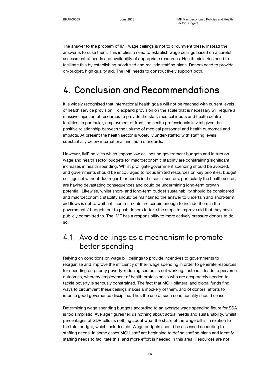The answer to the problem of IMF wage ceilings is not to circumvent these. Instead the answer is to raise them. This implies a need to establish wage ceilings based on a careful assessment of needs and availability of appropriate resources. Health ministries need to facilitate this by establishing prioritised and realistic staffing plans. Donors need to provide on-budget, high quality aid. The IMF needs to constructively support both.

## 4. Conclusion and Recommendations

It is widely recognised that international health goals will not be reached with current levels of health service provision. To expand provision on the scale that is necessary will require a massive injection of resources to provide the staff, medical inputs and health centre facilities. In particular, employment of front line health professionals is vital given the positive relationship between the volume of medical personnel and health outcomes and impacts. At present the health sector is woefully under-staffed with staffing levels substantially below international minimum standards.

However, IMF policies which impose low ceilings on government budgets and in turn on wage and health sector budgets for macroeconomic stability are constraining significant increases in health spending. Whilst profligate government spending should be avoided, and governments should be encouraged to focus limited resources on key priorities, budget ceilings set without due regard for needs in the social sectors, particularly the health sector, are having devastating consequences and could be undermining long-term growth potential. Likewise, whilst short- and long-term budget sustainability should be considered and macroeconomic stability should be maintained the answer to uncertain and short-term aid flows is not to wait until commitments are certain enough to include them in the governments' budgets but to push donors to take the steps to improve aid that they have publicly committed to. The IMF has a responsibility to more actively pressure donors to do so.

### 4.1. Avoid ceilings as a mechanism to promote better spending

Relying on conditions on wage bill ceilings to provide incentives to governments to reorganise and improve the efficiency of their wage spending in order to generate resources for spending on priority poverty-reducing sectors is not working. Instead it leads to perverse outcomes, whereby employment of health professionals who are desperately needed to tackle poverty is seriously constrained. The fact that MOH bilateral and global funds find ways to circumvent these ceilings makes a mockery of them, and of donors' efforts to impose good governance discipline. Thus the use of such conditionality should cease.

Determining wage spending budgets according to an average wage spending figure for SSA is too simplistic. Average figures tell us nothing about actual needs and sustainability, whilst percentages of GDP tells us nothing about what the share of the wage bill is in relation to the total budget, which includes aid. Wage budgets should be assessed according to staffing needs. In some cases MOH staff are beginning to define staffing plans and identify staffing needs to facilitate this, and more effort is needed in this area. Resources are not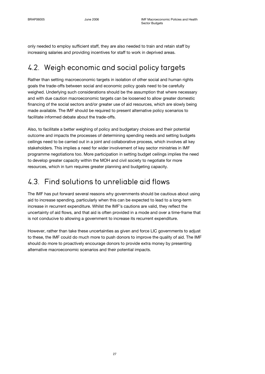only needed to employ sufficient staff, they are also needed to train and retain staff by increasing salaries and providing incentives for staff to work in deprived areas.

## 4.2. Weigh economic and social policy targets

Rather than setting macroeconomic targets in isolation of other social and human rights goals the trade-offs between social and economic policy goals need to be carefully weighed. Underlying such considerations should be the assumption that where necessary and with due caution macroeconomic targets can be loosened to allow greater domestic financing of the social sectors and/or greater use of aid resources, which are slowly being made available. The IMF should be required to present alternative policy scenarios to facilitate informed debate about the trade-offs.

Also, to facilitate a better weighing of policy and budgetary choices and their potential outcome and impacts the processes of determining spending needs and setting budgets ceilings need to be carried out in a joint and collaborative process, which involves all key stakeholders. This implies a need for wider involvement of key sector ministries in IMF programme negotiations too. More participation in setting budget ceilings implies the need to develop greater capacity within the MOH and civil society to negotiate for more resources, which in turn requires greater planning and budgeting capacity.

## 4.3. Find solutions to unreliable aid flows

The IMF has put forward several reasons why governments should be cautious about using aid to increase spending, particularly when this can be expected to lead to a long-term increase in recurrent expenditure. Whilst the IMF's cautions are valid, they reflect the uncertainty of aid flows, and that aid is often provided in a mode and over a time-frame that is not conducive to allowing a government to increase its recurrent expenditure.

However, rather than take these uncertainties as given and force LIC governments to adjust to these, the IMF could do much more to push donors to improve the quality of aid. The IMF should do more to proactively encourage donors to provide extra money by presenting alternative macroeconomic scenarios and their potential impacts.